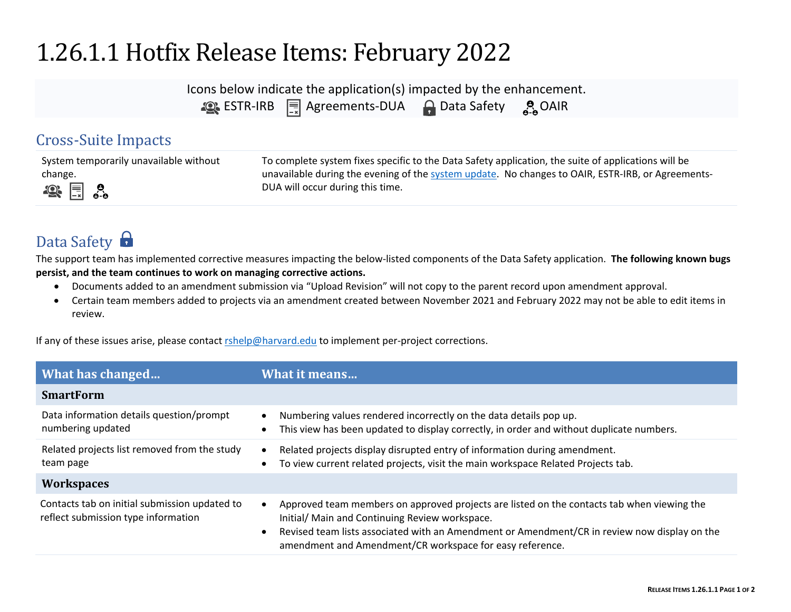## 1.26.1.1 Hotfix Release Items: February 2022

| Icons below indicate the application(s) impacted by the enhancement. |                                          |                      |                    |
|----------------------------------------------------------------------|------------------------------------------|----------------------|--------------------|
|                                                                      | <b>ASSESS TRIPS</b> TRIPS Agreements-DUA | <b>A</b> Data Safety | $\frac{9}{9}$ OAIR |

## Cross-Suite Impacts

| System temporarily unavailable without | To complete system fixes specific to the Data Safety application, the suite of applications will be |
|----------------------------------------|-----------------------------------------------------------------------------------------------------|
| change.                                | unavailable during the evening of the system update. No changes to OAIR, ESTR-IRB, or Agreements-   |
| $\mathbb{R}$ $\mathbb{R}$ $\circ$      | DUA will occur during this time.                                                                    |

## Data Safety

The support team has implemented corrective measures impacting the below-listed components of the Data Safety application. **The following known bugs persist, and the team continues to work on managing corrective actions.** 

- Documents added to an amendment submission via "Upload Revision" will not copy to the parent record upon amendment approval.
- Certain team members added to projects via an amendment created between November 2021 and February 2022 may not be able to edit items in review.

If any of these issues arise, please contact rshelp@harvard.edu to implement per-project corrections.

| What has changed                                                                     | What it means                                                                                                                                                                                                                                                                                            |
|--------------------------------------------------------------------------------------|----------------------------------------------------------------------------------------------------------------------------------------------------------------------------------------------------------------------------------------------------------------------------------------------------------|
| <b>SmartForm</b>                                                                     |                                                                                                                                                                                                                                                                                                          |
| Data information details question/prompt<br>numbering updated                        | Numbering values rendered incorrectly on the data details pop up.<br>This view has been updated to display correctly, in order and without duplicate numbers.                                                                                                                                            |
| Related projects list removed from the study<br>team page                            | Related projects display disrupted entry of information during amendment.<br>To view current related projects, visit the main workspace Related Projects tab.                                                                                                                                            |
| <b>Workspaces</b>                                                                    |                                                                                                                                                                                                                                                                                                          |
| Contacts tab on initial submission updated to<br>reflect submission type information | Approved team members on approved projects are listed on the contacts tab when viewing the<br>Initial/ Main and Continuing Review workspace.<br>Revised team lists associated with an Amendment or Amendment/CR in review now display on the<br>amendment and Amendment/CR workspace for easy reference. |